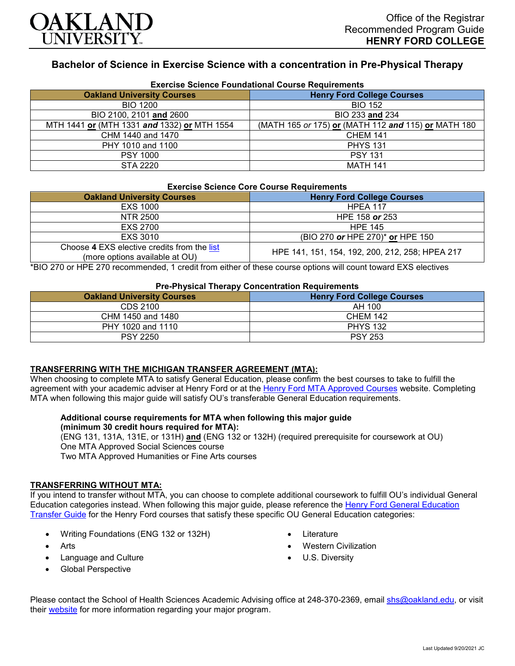

## **Bachelor of Science in Exercise Science with a concentration in Pre-Physical Therapy**

| Exercise Science Foundational Course Requirements |                                                     |  |
|---------------------------------------------------|-----------------------------------------------------|--|
| <b>Oakland University Courses</b>                 | <b>Henry Ford College Courses</b>                   |  |
| <b>BIO 1200</b>                                   | <b>BIO 152</b>                                      |  |
| BIO 2100, 2101 and 2600                           | BIO 233 and 234                                     |  |
| MTH 1441 or (MTH 1331 and 1332) or MTH 1554       | (MATH 165 or 175) or (MATH 112 and 115) or MATH 180 |  |
| CHM 1440 and 1470                                 | <b>CHEM 141</b>                                     |  |
| PHY 1010 and 1100                                 | <b>PHYS 131</b>                                     |  |
| <b>PSY 1000</b>                                   | <b>PSY 131</b>                                      |  |
| STA 2220                                          | <b>MATH 141</b>                                     |  |

# **Exercise Science Foundational Course Requirements**

#### **Exercise Science Core Course Requirements**

| <b>Oakland University Courses</b>                                             | <b>Henry Ford College Courses</b>               |  |
|-------------------------------------------------------------------------------|-------------------------------------------------|--|
| EXS 1000                                                                      | <b>HPEA 117</b>                                 |  |
| NTR 2500                                                                      | HPE 158 or 253                                  |  |
| EXS 2700                                                                      | <b>HPE 145</b>                                  |  |
| EXS 3010                                                                      | (BIO 270 or HPE 270) <sup>*</sup> or HPE 150    |  |
| Choose 4 EXS elective credits from the list<br>(more options available at OU) | HPE 141, 151, 154, 192, 200, 212, 258; HPEA 217 |  |

\*BIO 270 or HPE 270 recommended, 1 credit from either of these course options will count toward EXS electives

#### **Pre-Physical Therapy Concentration Requirements**

| <b>Oakland University Courses</b> | <b>Henry Ford College Courses</b> |
|-----------------------------------|-----------------------------------|
| CDS 2100                          | AH 100                            |
| CHM 1450 and 1480                 | <b>CHEM 142</b>                   |
| PHY 1020 and 1110                 | <b>PHYS 132</b>                   |
| <b>PSY 2250</b>                   | <b>PSY 253</b>                    |

### **TRANSFERRING WITH THE MICHIGAN TRANSFER AGREEMENT (MTA):**

When choosing to complete MTA to satisfy General Education, please confirm the best courses to take to fulfill the agreement with your academic adviser at Henry Ford or at the [Henry Ford MTA Approved Courses](https://www.hfcc.edu/registration-and-records/mta/hfc-agreement) website. Completing MTA when following this major guide will satisfy OU's transferable General Education requirements.

### **Additional course requirements for MTA when following this major guide (minimum 30 credit hours required for MTA):**

(ENG 131, 131A, 131E, or 131H) **and** (ENG 132 or 132H) (required prerequisite for coursework at OU) One MTA Approved Social Sciences course Two MTA Approved Humanities or Fine Arts courses

# **TRANSFERRING WITHOUT MTA:**

If you intend to transfer without MTA, you can choose to complete additional coursework to fulfill OU's individual General Education categories instead. When following this major guide, please reference the [Henry Ford General Education](https://www.oakland.edu/Assets/Oakland/program-guides/henry-ford-college/university-general-education-requirements/Henry%20Ford%20Gen%20Ed.pdf)  [Transfer Guide](https://www.oakland.edu/Assets/Oakland/program-guides/henry-ford-college/university-general-education-requirements/Henry%20Ford%20Gen%20Ed.pdf) for the Henry Ford courses that satisfy these specific OU General Education categories:

- Writing Foundations (ENG 132 or 132H)
- **Arts**
- Language and Culture
- Global Perspective
- Literature
- Western Civilization
- U.S. Diversity

Please contact the School of Health Sciences Academic Advising office at 248-370-2369, email [shs@oakland.edu,](mailto:shs@oakland.edu) or visit their [website](http://www.oakland.edu/shs/advising) for more information regarding your major program.